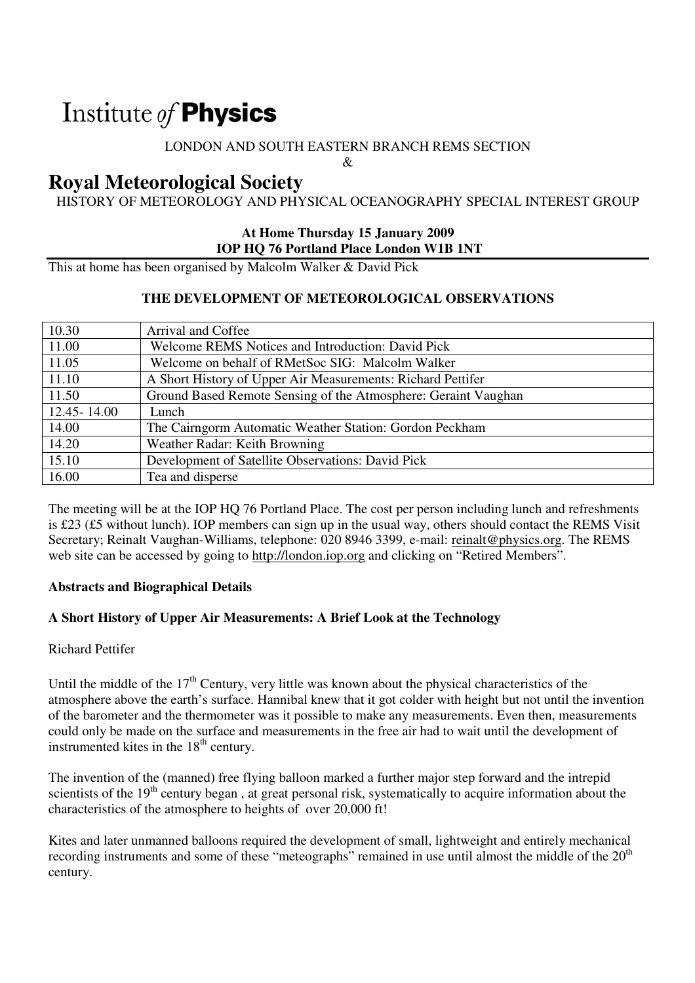# Institute of **Physics**

### LONDON AND SOUTH EASTERN BRANCH REMS SECTION

 $\mathcal{R}$ 

# **Royal Meteorological Society**

HISTORY OF METEOROLOGY AND PHYSICAL OCEANOGRAPHY SPECIAL INTEREST GROUP

#### **At Home Thursday 15 January 2009 IOP HQ 76 Portland Place London W1B 1NT**

This at home has been organised by Malcolm Walker & David Pick

#### **THE DEVELOPMENT OF METEOROLOGICAL OBSERVATIONS**

| 10.30         | Arrival and Coffee                                             |
|---------------|----------------------------------------------------------------|
| 11.00         | Welcome REMS Notices and Introduction: David Pick              |
| 11.05         | Welcome on behalf of RMetSoc SIG: Malcolm Walker               |
| 11.10         | A Short History of Upper Air Measurements: Richard Pettifer    |
| 11.50         | Ground Based Remote Sensing of the Atmosphere: Geraint Vaughan |
| 12.45 - 14.00 | Lunch                                                          |
| 14.00         | The Cairngorm Automatic Weather Station: Gordon Peckham        |
| 14.20         | Weather Radar: Keith Browning                                  |
| 15.10         | Development of Satellite Observations: David Pick              |
| 16.00         | Tea and disperse                                               |

The meeting will be at the IOP HQ 76 Portland Place. The cost per person including lunch and refreshments is £23 (£5 without lunch). IOP members can sign up in the usual way, others should contact the REMS Visit Secretary; Reinalt Vaughan-Williams, telephone: 020 8946 3399, e-mail: reinalt@physics.org. The REMS web site can be accessed by going to http://london.iop.org and clicking on "Retired Members".

#### **Abstracts and Biographical Details**

#### **A Short History of Upper Air Measurements: A Brief Look at the Technology**

#### Richard Pettifer

Until the middle of the  $17<sup>th</sup>$  Century, very little was known about the physical characteristics of the atmosphere above the earth's surface. Hannibal knew that it got colder with height but not until the invention of the barometer and the thermometer was it possible to make any measurements. Even then, measurements could only be made on the surface and measurements in the free air had to wait until the development of instrumented kites in the  $18<sup>th</sup>$  century.

The invention of the (manned) free flying balloon marked a further major step forward and the intrepid scientists of the  $19<sup>th</sup>$  century began, at great personal risk, systematically to acquire information about the characteristics of the atmosphere to heights of over 20,000 ft!

Kites and later unmanned balloons required the development of small, lightweight and entirely mechanical recording instruments and some of these "meteographs" remained in use until almost the middle of the  $20<sup>th</sup>$ century.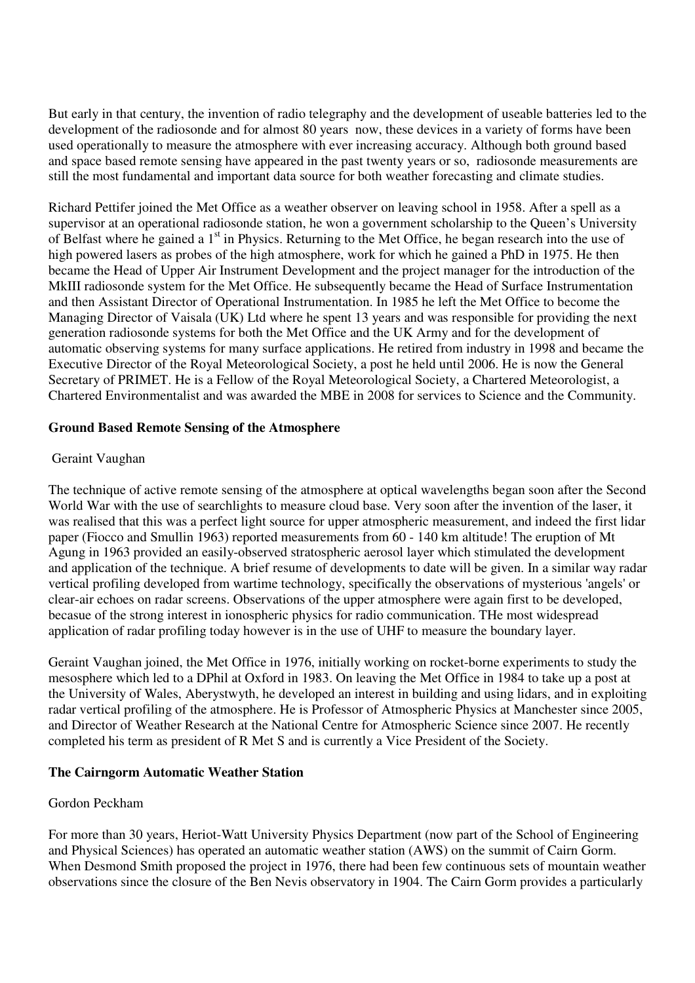But early in that century, the invention of radio telegraphy and the development of useable batteries led to the development of the radiosonde and for almost 80 years now, these devices in a variety of forms have been used operationally to measure the atmosphere with ever increasing accuracy. Although both ground based and space based remote sensing have appeared in the past twenty years or so, radiosonde measurements are still the most fundamental and important data source for both weather forecasting and climate studies.

Richard Pettifer joined the Met Office as a weather observer on leaving school in 1958. After a spell as a supervisor at an operational radiosonde station, he won a government scholarship to the Queen's University of Belfast where he gained a 1<sup>st</sup> in Physics. Returning to the Met Office, he began research into the use of high powered lasers as probes of the high atmosphere, work for which he gained a PhD in 1975. He then became the Head of Upper Air Instrument Development and the project manager for the introduction of the MkIII radiosonde system for the Met Office. He subsequently became the Head of Surface Instrumentation and then Assistant Director of Operational Instrumentation. In 1985 he left the Met Office to become the Managing Director of Vaisala (UK) Ltd where he spent 13 years and was responsible for providing the next generation radiosonde systems for both the Met Office and the UK Army and for the development of automatic observing systems for many surface applications. He retired from industry in 1998 and became the Executive Director of the Royal Meteorological Society, a post he held until 2006. He is now the General Secretary of PRIMET. He is a Fellow of the Royal Meteorological Society, a Chartered Meteorologist, a Chartered Environmentalist and was awarded the MBE in 2008 for services to Science and the Community.

#### **Ground Based Remote Sensing of the Atmosphere**

#### Geraint Vaughan

The technique of active remote sensing of the atmosphere at optical wavelengths began soon after the Second World War with the use of searchlights to measure cloud base. Very soon after the invention of the laser, it was realised that this was a perfect light source for upper atmospheric measurement, and indeed the first lidar paper (Fiocco and Smullin 1963) reported measurements from 60 - 140 km altitude! The eruption of Mt Agung in 1963 provided an easily-observed stratospheric aerosol layer which stimulated the development and application of the technique. A brief resume of developments to date will be given. In a similar way radar vertical profiling developed from wartime technology, specifically the observations of mysterious 'angels' or clear-air echoes on radar screens. Observations of the upper atmosphere were again first to be developed, becasue of the strong interest in ionospheric physics for radio communication. THe most widespread application of radar profiling today however is in the use of UHF to measure the boundary layer.

Geraint Vaughan joined, the Met Office in 1976, initially working on rocket-borne experiments to study the mesosphere which led to a DPhil at Oxford in 1983. On leaving the Met Office in 1984 to take up a post at the University of Wales, Aberystwyth, he developed an interest in building and using lidars, and in exploiting radar vertical profiling of the atmosphere. He is Professor of Atmospheric Physics at Manchester since 2005, and Director of Weather Research at the National Centre for Atmospheric Science since 2007. He recently completed his term as president of R Met S and is currently a Vice President of the Society.

#### **The Cairngorm Automatic Weather Station**

#### Gordon Peckham

For more than 30 years, Heriot-Watt University Physics Department (now part of the School of Engineering and Physical Sciences) has operated an automatic weather station (AWS) on the summit of Cairn Gorm. When Desmond Smith proposed the project in 1976, there had been few continuous sets of mountain weather observations since the closure of the Ben Nevis observatory in 1904. The Cairn Gorm provides a particularly